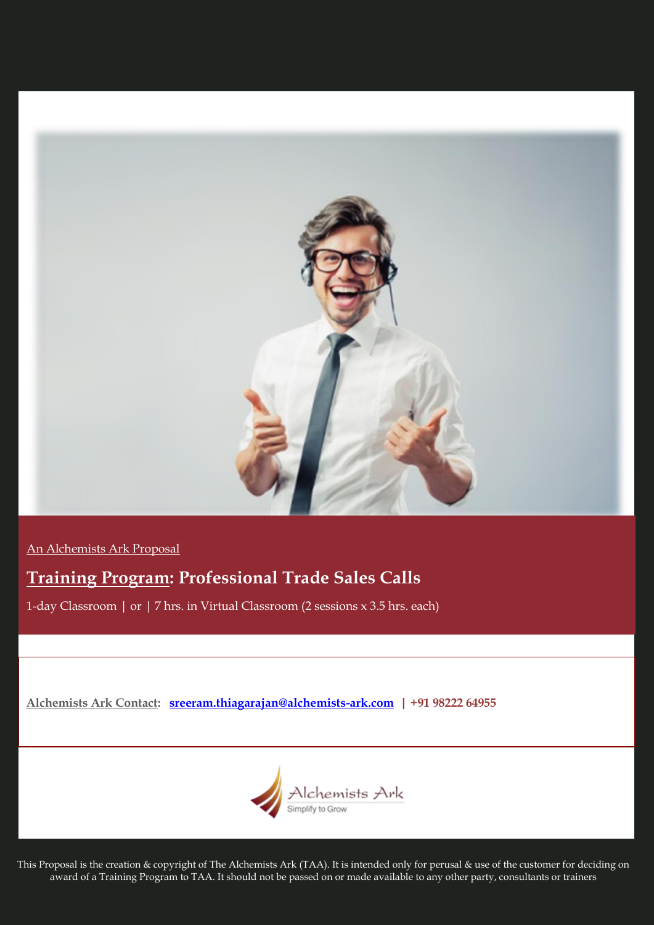

An Alchemists Ark Proposal

# **Training Program: Professional Trade Sales Calls**

1-day Classroom | or | 7 hrs. in Virtual Classroom (2 sessions x 3.5 hrs. each)

**Alchemists Ark Contact: [sreeram.thiagarajan@alchemists-ark.com](mailto:sreeram.thiagarajan@alchemists-ark.com) | +91 98222 64955**



This Proposal is the creation & copyright of The Alchemists Ark (TAA). It is intended only for perusal & use of the customer for deciding on award of a Training Program to TAA. It should not be passed on or made available to any other party, consultants or trainers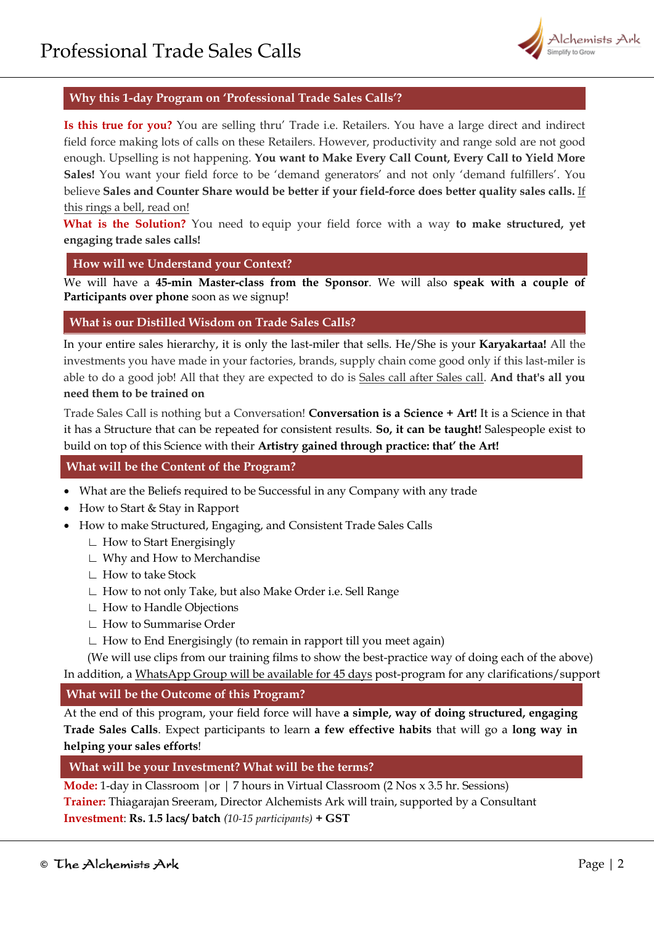

# **Why this 1-day Program on 'Professional Trade Sales Calls'?**

**Is this true for you?** You are selling thru' Trade i.e. Retailers. You have a large direct and indirect field force making lots of calls on these Retailers. However, productivity and range sold are not good enough. Upselling is not happening. **You want to Make Every Call Count, Every Call to Yield More Sales!** You want your field force to be 'demand generators' and not only 'demand fulfillers'. You believe **Sales and Counter Share would be better if your field-force does better quality sales calls.** If this rings a bell, read on!

**What is the Solution?** You need to equip your field force with a way **to make structured, yet engaging trade sales calls!**

## **How will we Understand your Context?**

We will have a **45-min Master-class from the Sponsor**. We will also **speak with a couple of Participants over phone** soon as we signup!

## **What is our Distilled Wisdom on Trade Sales Calls?**

In your entire sales hierarchy, it is only the last-miler that sells. He/She is your **Karyakartaa!** All the investments you have made in your factories, brands, supply chain come good only if this last-miler is able to do a good job! All that they are expected to do is Sales call after Sales call. **And that's all you need them to be trained on**

Trade Sales Call is nothing but a Conversation! **Conversation is a Science + Art!** It is a Science in that it has a Structure that can be repeated for consistent results. **So, it can be taught!** Salespeople exist to build on top of this Science with their **Artistry gained through practice: that' the Art!** 

## **What will be the Content of the Program?**

- What are the Beliefs required to be Successful in any Company with any trade
- How to Start & Stay in Rapport
- How to make Structured, Engaging, and Consistent Trade Sales Calls
	- ∟ How to Start Energisingly
	- ∟ Why and How to Merchandise
	- ∟ How to take Stock
	- ∟ How to not only Take, but also Make Order i.e. Sell Range
	- ∟ How to Handle Objections
	- ∟ How to Summarise Order
	- ∟ How to End Energisingly (to remain in rapport till you meet again)

(We will use clips from our training films to show the best-practice way of doing each of the above) In addition, a WhatsApp Group will be available for 45 days post-program for any clarifications/support

# **What will be the Outcome of this Program?**

At the end of this program, your field force will have **a simple, way of doing structured, engaging Trade Sales Calls**. Expect participants to learn **a few effective habits** that will go a **long way in helping your sales efforts**!

# **What will be your Investment? What will be the terms?**

**Mode:** 1-day in Classroom |or | 7 hours in Virtual Classroom (2 Nos x 3.5 hr. Sessions) **Trainer:** Thiagarajan Sreeram, Director Alchemists Ark will train, supported by a Consultant **Investment**: **Rs. 1.5 lacs/ batch** *(10-15 participants)* **+ GST**